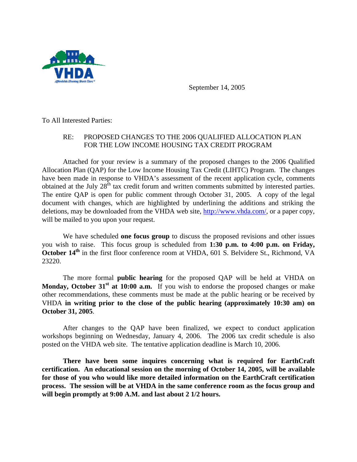

September 14, 2005

To All Interested Parties:

## RE: PROPOSED CHANGES TO THE 2006 QUALIFIED ALLOCATION PLAN FOR THE LOW INCOME HOUSING TAX CREDIT PROGRAM

Attached for your review is a summary of the proposed changes to the 2006 Qualified Allocation Plan (QAP) for the Low Income Housing Tax Credit (LIHTC) Program. The changes have been made in response to VHDA's assessment of the recent application cycle, comments obtained at the July  $28<sup>th</sup>$  tax credit forum and written comments submitted by interested parties. The entire QAP is open for public comment through October 31, 2005. A copy of the legal document with changes, which are highlighted by underlining the additions and striking the deletions, may be downloaded from the VHDA web site, http://www.vhda.com/, or a paper copy, will be mailed to you upon your request.

We have scheduled **one focus group** to discuss the proposed revisions and other issues you wish to raise. This focus group is scheduled from **1:30 p.m. to 4:00 p.m. on Friday, October 14<sup>th</sup>** in the first floor conference room at VHDA, 601 S. Belvidere St., Richmond, VA 23220.

The more formal **public hearing** for the proposed QAP will be held at VHDA on **Monday, October 31<sup>st</sup> at 10:00 a.m.** If you wish to endorse the proposed changes or make other recommendations, these comments must be made at the public hearing or be received by VHDA **in writing prior to the close of the public hearing (approximately 10:30 am) on October 31, 2005**.

After changes to the QAP have been finalized, we expect to conduct application workshops beginning on Wednesday, January 4, 2006. The 2006 tax credit schedule is also posted on the VHDA web site. The tentative application deadline is March 10, 2006.

**There have been some inquires concerning what is required for EarthCraft certification. An educational session on the morning of October 14, 2005, will be available for those of you who would like more detailed information on the EarthCraft certification process. The session will be at VHDA in the same conference room as the focus group and will begin promptly at 9:00 A.M. and last about 2 1/2 hours.**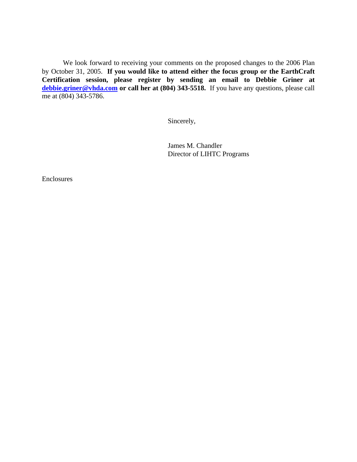We look forward to receiving your comments on the proposed changes to the 2006 Plan by October 31, 2005. **If you would like to attend either the focus group or the EarthCraft Certification session, please register by sending an email to Debbie Griner at debbie.griner@vhda.com or call her at (804) 343-5518.** If you have any questions, please call me at (804) 343-5786.

Sincerely,

James M. Chandler Director of LIHTC Programs

Enclosures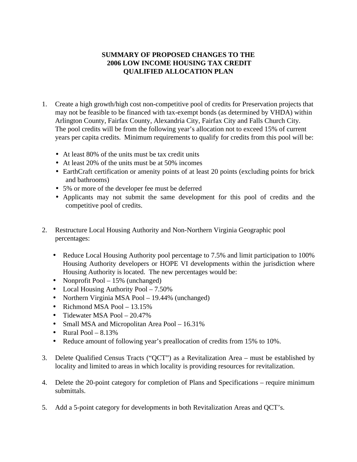## **SUMMARY OF PROPOSED CHANGES TO THE 2006 LOW INCOME HOUSING TAX CREDIT QUALIFIED ALLOCATION PLAN**

- 1. Create a high growth/high cost non-competitive pool of credits for Preservation projects that may not be feasible to be financed with tax-exempt bonds (as determined by VHDA) within Arlington County, Fairfax County, Alexandria City, Fairfax City and Falls Church City. The pool credits will be from the following year's allocation not to exceed 15% of current years per capita credits. Minimum requirements to qualify for credits from this pool will be:
	- At least 80% of the units must be tax credit units
	- At least 20% of the units must be at 50% incomes
	- EarthCraft certification or amenity points of at least 20 points (excluding points for brick and bathrooms)
	- 5% or more of the developer fee must be deferred
	- Applicants may not submit the same development for this pool of credits and the competitive pool of credits.
- 2. Restructure Local Housing Authority and Non-Northern Virginia Geographic pool percentages:
	- Reduce Local Housing Authority pool percentage to 7.5% and limit participation to 100% Housing Authority developers or HOPE VI developments within the jurisdiction where Housing Authority is located. The new percentages would be:
	- Nonprofit Pool 15% (unchanged)
	- Local Housing Authority Pool 7.50%
	- Northern Virginia MSA Pool 19.44% (unchanged)
	- Richmond MSA Pool  $-13.15\%$
	- Tidewater MSA Pool 20.47%
	- Small MSA and Micropolitan Area Pool 16.31%
	- Rural Pool  $-8.13\%$
	- Reduce amount of following year's preallocation of credits from 15% to 10%.
- 3. Delete Qualified Census Tracts ("QCT") as a Revitalization Area must be established by locality and limited to areas in which locality is providing resources for revitalization.
- 4. Delete the 20-point category for completion of Plans and Specifications require minimum submittals.
- 5. Add a 5-point category for developments in both Revitalization Areas and QCT's.